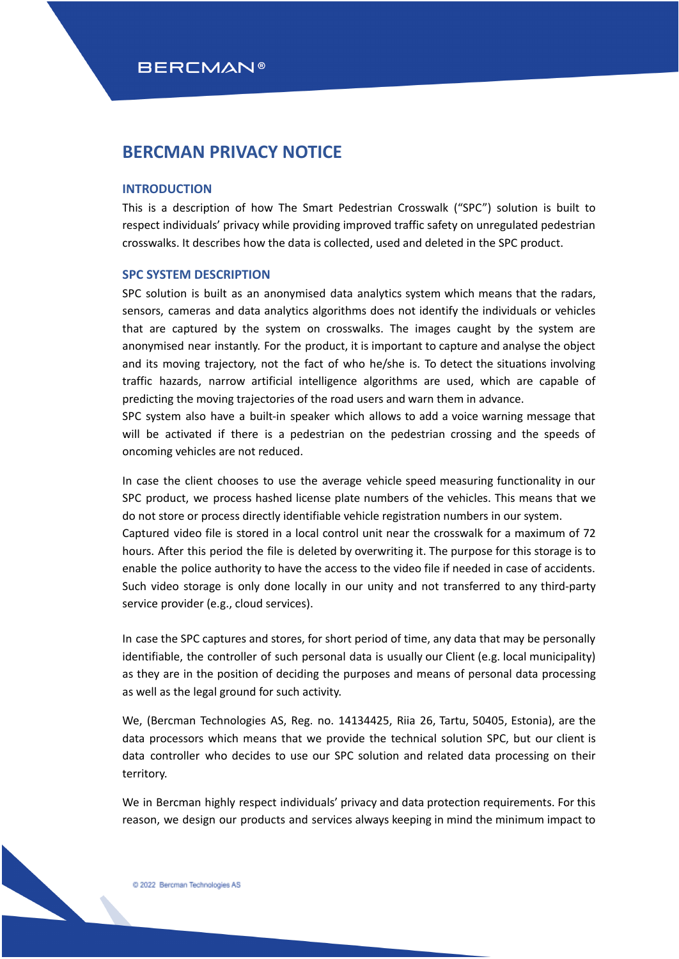## **BERCMAN PRIVACY NOTICE**

## **INTRODUCTION**

This is a description of how The Smart Pedestrian Crosswalk ("SPC") solution is built to respect individuals' privacy while providing improved traffic safety on unregulated pedestrian crosswalks. It describes how the data is collected, used and deleted in the SPC product.

## **SPC SYSTEM DESCRIPTION**

SPC solution is built as an anonymised data analytics system which means that the radars, sensors, cameras and data analytics algorithms does not identify the individuals or vehicles that are captured by the system on crosswalks. The images caught by the system are anonymised near instantly. For the product, it is important to capture and analyse the object and its moving trajectory, not the fact of who he/she is. To detect the situations involving traffic hazards, narrow artificial intelligence algorithms are used, which are capable of predicting the moving trajectories of the road users and warn them in advance.

SPC system also have a built-in speaker which allows to add a voice warning message that will be activated if there is a pedestrian on the pedestrian crossing and the speeds of oncoming vehicles are not reduced.

In case the client chooses to use the average vehicle speed measuring functionality in our SPC product, we process hashed license plate numbers of the vehicles. This means that we do not store or process directly identifiable vehicle registration numbers in our system. Captured video file is stored in a local control unit near the crosswalk for a maximum of 72 hours. After this period the file is deleted by overwriting it. The purpose for this storage is to enable the police authority to have the access to the video file if needed in case of accidents. Such video storage is only done locally in our unity and not transferred to any third-party service provider (e.g., cloud services).

In case the SPC captures and stores, for short period of time, any data that may be personally identifiable, the controller of such personal data is usually our Client (e.g. local municipality) as they are in the position of deciding the purposes and means of personal data processing as well as the legal ground for such activity.

We, (Bercman Technologies AS, Reg. no. 14134425, Riia 26, Tartu, 50405, Estonia), are the data processors which means that we provide the technical solution SPC, but our client is data controller who decides to use our SPC solution and related data processing on their territory.

We in Bercman highly respect individuals' privacy and data protection requirements. For this reason, we design our products and services always keeping in mind the minimum impact to